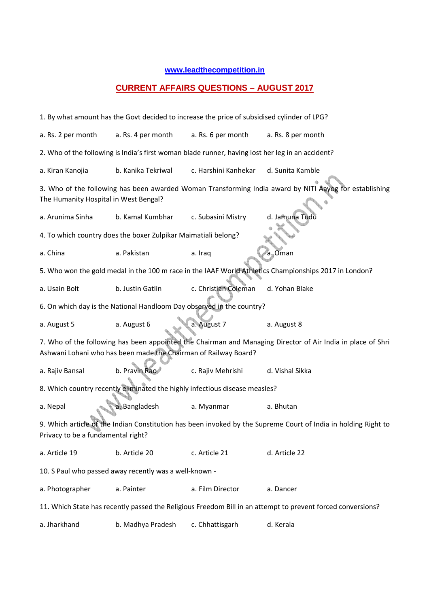## **www.leadthecompetition.in**

## **CURRENT AFFAIRS QUESTIONS – AUGUST 2017**

| 1. By what amount has the Govt decided to increase the price of subsidised cylinder of LPG?                                                          |                                                                |                      |                                                                                                             |  |  |  |  |  |  |  |  |
|------------------------------------------------------------------------------------------------------------------------------------------------------|----------------------------------------------------------------|----------------------|-------------------------------------------------------------------------------------------------------------|--|--|--|--|--|--|--|--|
| a. Rs. 2 per month                                                                                                                                   | a. Rs. 4 per month                                             | a. Rs. 6 per month   | a. Rs. 8 per month                                                                                          |  |  |  |  |  |  |  |  |
| 2. Who of the following is India's first woman blade runner, having lost her leg in an accident?                                                     |                                                                |                      |                                                                                                             |  |  |  |  |  |  |  |  |
| a. Kiran Kanojia                                                                                                                                     | b. Kanika Tekriwal                                             | c. Harshini Kanhekar | d. Sunita Kamble                                                                                            |  |  |  |  |  |  |  |  |
| 3. Who of the following has been awarded Woman Transforming India award by NITI Aayog for establishing<br>The Humanity Hospital in West Bengal?      |                                                                |                      |                                                                                                             |  |  |  |  |  |  |  |  |
| a. Arunima Sinha                                                                                                                                     | b. Kamal Kumbhar                                               | c. Subasini Mistry   | d. Jamuna Tudu                                                                                              |  |  |  |  |  |  |  |  |
|                                                                                                                                                      | 4. To which country does the boxer Zulpikar Maimatiali belong? |                      |                                                                                                             |  |  |  |  |  |  |  |  |
| a. China                                                                                                                                             | a. Pakistan                                                    | a. Iraq              | a. Oman                                                                                                     |  |  |  |  |  |  |  |  |
| 5. Who won the gold medal in the 100 m race in the IAAF World Athletics Championships 2017 in London?                                                |                                                                |                      |                                                                                                             |  |  |  |  |  |  |  |  |
| a. Usain Bolt                                                                                                                                        | b. Justin Gatlin                                               | c. Christian Coleman | d. Yohan Blake                                                                                              |  |  |  |  |  |  |  |  |
| 6. On which day is the National Handloom Day observed in the country?                                                                                |                                                                |                      |                                                                                                             |  |  |  |  |  |  |  |  |
| a. August 5                                                                                                                                          | a. August 6                                                    | a. August 7          | a. August 8                                                                                                 |  |  |  |  |  |  |  |  |
|                                                                                                                                                      |                                                                |                      | 7. Who of the following has been appointed the Chairman and Managing Director of Air India in place of Shri |  |  |  |  |  |  |  |  |
| Ashwani Lohani who has been made the Chairman of Railway Board?                                                                                      |                                                                |                      |                                                                                                             |  |  |  |  |  |  |  |  |
| a. Rajiv Bansal                                                                                                                                      | b. Pravin Rao                                                  | c. Rajiv Mehrishi    | d. Vishal Sikka                                                                                             |  |  |  |  |  |  |  |  |
| 8. Which country recently eliminated the highly infectious disease measles?                                                                          |                                                                |                      |                                                                                                             |  |  |  |  |  |  |  |  |
| a. Nepal                                                                                                                                             | a. Bangladesh                                                  | a. Myanmar           | a. Bhutan                                                                                                   |  |  |  |  |  |  |  |  |
| 9. Which article of the Indian Constitution has been invoked by the Supreme Court of India in holding Right to<br>Privacy to be a fundamental right? |                                                                |                      |                                                                                                             |  |  |  |  |  |  |  |  |
| a. Article 19                                                                                                                                        | b. Article 20                                                  | c. Article 21        | d. Article 22                                                                                               |  |  |  |  |  |  |  |  |
|                                                                                                                                                      | 10. S Paul who passed away recently was a well-known -         |                      |                                                                                                             |  |  |  |  |  |  |  |  |
| a. Photographer                                                                                                                                      | a. Painter                                                     | a. Film Director     | a. Dancer                                                                                                   |  |  |  |  |  |  |  |  |
| 11. Which State has recently passed the Religious Freedom Bill in an attempt to prevent forced conversions?                                          |                                                                |                      |                                                                                                             |  |  |  |  |  |  |  |  |
| a. Jharkhand                                                                                                                                         | b. Madhya Pradesh                                              | c. Chhattisgarh      | d. Kerala                                                                                                   |  |  |  |  |  |  |  |  |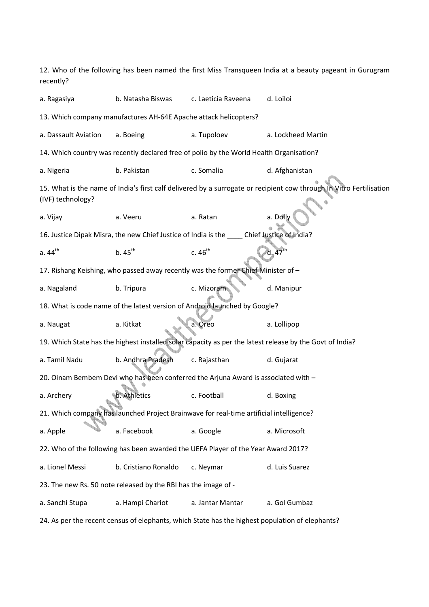12. Who of the following has been named the first Miss Transqueen India at a beauty pageant in Gurugram recently? a. Ragasiya b. Natasha Biswas c. Laeticia Raveena d. Loiloi 13. Which company manufactures AH-64E Apache attack helicopters? a. Dassault Aviation a. Boeing a. Tupoloev a. Lockheed Martin 14. Which country was recently declared free of polio by the World Health Organisation? a. Nigeria b. Pakistan c. Somalia d. Afghanistan 15. What is the name of India's first calf delivered by a surrogate or recipient cow through In Vitro Fertilisation (IVF) technology? a. Vijay a. Veeru a. Ratan a. Dolly 16. Justice Dipak Misra, the new Chief Justice of India is the \_\_\_\_ Chief Justice of India? a.  $44^{\text{th}}$  b.  $45^{\text{th}}$  c.  $46^{\text{th}}$  d.  $47^{\text{th}}$ 17. Rishang Keishing, who passed away recently was the former Chief Minister of – a. Nagaland b. Tripura c. Mizoram d. Manipur 18. What is code name of the latest version of Android launched by Google? a. Naugat a. Kitkat a. Oreo a. Lollipop 19. Which State has the highest installed solar capacity as per the latest release by the Govt of India? a. Tamil Nadu b. Andhra Pradesh c. Rajasthan d. Gujarat 20. Oinam Bembem Devi who has been conferred the Arjuna Award is associated with – a. Archery b. Athletics c. Football d. Boxing 21. Which company has launched Project Brainwave for real-time artificial intelligence? a. Apple a. Facebook a. Google a. Microsoft 22. Who of the following has been awarded the UEFA Player of the Year Award 2017? a. Lionel Messi b. Cristiano Ronaldo c. Neymar d. Luis Suarez 23. The new Rs. 50 note released by the RBI has the image of a. Sanchi Stupa a. Hampi Chariot a. Jantar Mantar a. Gol Gumbaz

24. As per the recent census of elephants, which State has the highest population of elephants?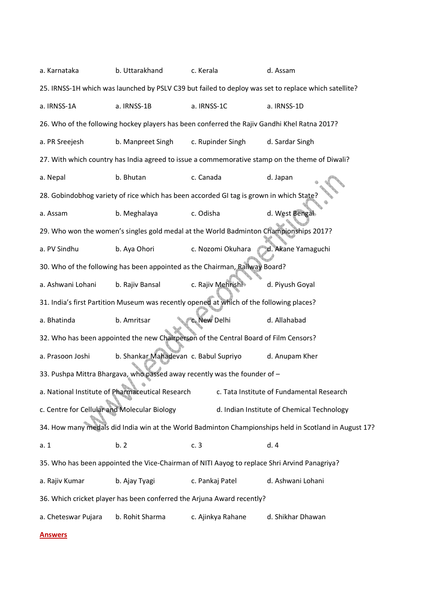a. Karnataka b. Uttarakhand c. Kerala d. Assam 25. IRNSS-1H which was launched by PSLV C39 but failed to deploy was set to replace which satellite? a. IRNSS-1A a. IRNSS-1B a. IRNSS-1C a. IRNSS-1D 26. Who of the following hockey players has been conferred the Rajiv Gandhi Khel Ratna 2017? a. PR Sreejesh b. Manpreet Singh c. Rupinder Singh d. Sardar Singh 27. With which country has India agreed to issue a commemorative stamp on the theme of Diwali? a. Nepal b. Bhutan c. Canada d. Japan 28. Gobindobhog variety of rice which has been accorded GI tag is grown in which State? a. Assam b. Meghalaya c. Odisha d. West Bengal 29. Who won the women's singles gold medal at the World Badminton Championships 2017? a. PV Sindhu b. Aya Ohori c. Nozomi Okuhara d. Akane Yamaguchi 30. Who of the following has been appointed as the Chairman, Railway Board? a. Ashwani Lohani b. Rajiv Bansal c. Rajiv Mehrishi d. Piyush Goyal 31. India's first Partition Museum was recently opened at which of the following places? a. Bhatinda b. Amritsar c. New Delhi d. Allahabad 32. Who has been appointed the new Chairperson of the Central Board of Film Censors? a. Prasoon Joshi b. Shankar Mahadevan c. Babul Supriyo d. Anupam Kher 33. Pushpa Mittra Bhargava, who passed away recently was the founder of – a. National Institute of Pharmaceutical Research c. Tata Institute of Fundamental Research c. Centre for Cellular and Molecular Biology d. Indian Institute of Chemical Technology 34. How many medals did India win at the World Badminton Championships held in Scotland in August 17? a. 1 b. 2 c. 3 d. 4 35. Who has been appointed the Vice-Chairman of NITI Aayog to replace Shri Arvind Panagriya? a. Rajiv Kumar b. Ajay Tyagi c. Pankaj Patel d. Ashwani Lohani 36. Which cricket player has been conferred the Arjuna Award recently? a. Cheteswar Pujara b. Rohit Sharma c. Ajinkya Rahane d. Shikhar Dhawan

**Answers**